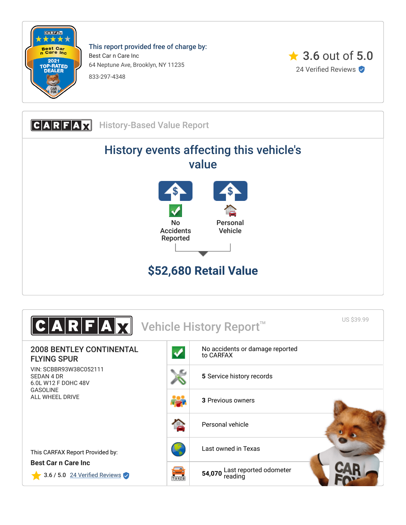

This report provided free of charge by: Best Car n Care Inc 64 Neptune Ave, Brooklyn, NY 11235 833-297-4348



**CARFAX** History-Based Value Report History events affecting this vehicle's value No Accidents Reported Personal Vehicle **\$52,680 Retail Value**

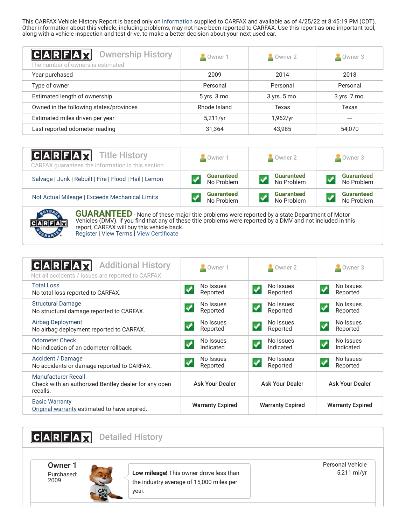This CARFAX Vehicle History Report is based only on [information](http://www.carfax.com/company/vhr-data-sources) supplied to CARFAX and available as of 4/25/22 at 8:45:19 PM (CDT). Other information about this vehicle, including problems, may not have been reported to CARFAX. Use this report as one important tool, along with a vehicle inspection and test drive, to make a better decision about your next used car.

<span id="page-1-2"></span>

| C A R F A X <br><b>Ownership History</b><br>The number of owners is estimated | Owner 1      | Owner 2          | $\triangle$ Owner 3 |  |  |
|-------------------------------------------------------------------------------|--------------|------------------|---------------------|--|--|
| Year purchased                                                                | 2009         | 2014             | 2018                |  |  |
| Type of owner                                                                 | Personal     | Personal         | Personal            |  |  |
| Estimated length of ownership                                                 | 5 yrs. 3 mo. | 3 yrs. 5 mo.     | 3 yrs. 7 mo.        |  |  |
| Owned in the following states/provinces                                       | Rhode Island | Texas            | Texas               |  |  |
| Estimated miles driven per year                                               | 5,211/yr     | 1,962/yr         | ---                 |  |  |
| Last reported odometer reading                                                | 31,364       | 43,985<br>54,070 |                     |  |  |

| <b>CARFAX</b> Title History<br>CARFAX quarantees the information in this section | Owner 1           | $\sim$ Owner 2    | Owner 3           |  |
|----------------------------------------------------------------------------------|-------------------|-------------------|-------------------|--|
| Salvage   Junk   Rebuilt   Fire   Flood   Hail   Lemon                           | <b>Guaranteed</b> | <b>Guaranteed</b> | <b>Guaranteed</b> |  |
|                                                                                  | No Problem        | No Problem        | No Problem        |  |
| Not Actual Mileage   Exceeds Mechanical Limits                                   | <b>Guaranteed</b> | <b>Guaranteed</b> | <b>Guaranteed</b> |  |
|                                                                                  | No Problem        | No Problem        | No Problem        |  |



**GUARANTEED** - None of these major title problems were reported by a state Department of Motor Vehicles (DMV). If you find that any of these title problems were reported by a DMV and not included in this report, CARFAX will buy this vehicle back. [Register](https://www.carfax.com/Service/bbg) | [View Terms](http://www.carfaxonline.com/legal/bbgTerms) | [View Certificate](https://www.carfaxonline.com/vhrs/SCBBR93W38C052111)

<span id="page-1-0"></span>

| <b>Additional History</b><br>CARFA<br>Not all accidents / issues are reported to CARFAX | Owner 1                                          | $\triangle$ Owner 2                              | Owner 3                                        |  |
|-----------------------------------------------------------------------------------------|--------------------------------------------------|--------------------------------------------------|------------------------------------------------|--|
| <b>Total Loss</b><br>No total loss reported to CARFAX.                                  | No Issues<br>Reported                            | No Issues<br>Reported                            | No Issues<br>Reported                          |  |
| <b>Structural Damage</b><br>No structural damage reported to CARFAX.                    | No Issues<br>$\overline{\mathbf{v}}$<br>Reported | No Issues<br>√<br>Reported                       | No Issues<br>$\boldsymbol{J}$<br>Reported      |  |
| Airbag Deployment<br>No airbag deployment reported to CARFAX.                           | No Issues<br>✔<br>Reported                       | No Issues<br>$\blacktriangledown$<br>Reported    | No Issues<br>$\blacklozenge$<br>Reported       |  |
| <b>Odometer Check</b><br>No indication of an odometer rollback.                         | No Issues<br>Indicated                           | No Issues<br>Indicated                           | No Issues<br>$\blacktriangledown$<br>Indicated |  |
| Accident / Damage<br>No accidents or damage reported to CARFAX.                         | No Issues<br>$\blacktriangledown$<br>Reported    | No Issues<br>$\overline{\mathbf{v}}$<br>Reported | No Issues<br>✓<br>Reported                     |  |
| Manufacturer Recall<br>Check with an authorized Bentley dealer for any open<br>recalls. | <b>Ask Your Dealer</b>                           | <b>Ask Your Dealer</b>                           | <b>Ask Your Dealer</b>                         |  |
| <b>Basic Warranty</b><br>Original warranty estimated to have expired.                   | <b>Warranty Expired</b>                          | <b>Warranty Expired</b>                          | <b>Warranty Expired</b>                        |  |

<span id="page-1-1"></span>CARFAX Detailed History Owner 1 Purchased: 2009 **Low mileage!** This owner drove less than the industry average of 15,000 miles per year. Personal Vehicle 5,211 mi/yr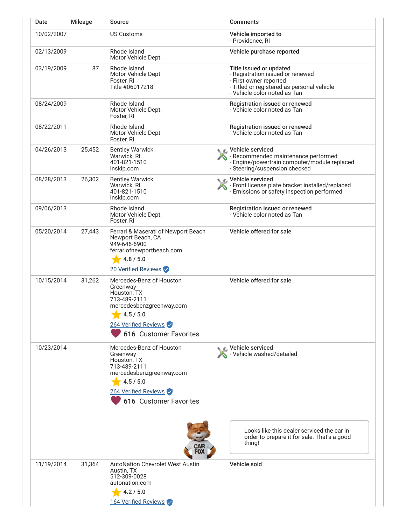| Date       | <b>Mileage</b> | Source                                                                                                                                                         | <b>Comments</b>                                                                                                                                                     |
|------------|----------------|----------------------------------------------------------------------------------------------------------------------------------------------------------------|---------------------------------------------------------------------------------------------------------------------------------------------------------------------|
| 10/02/2007 |                | <b>US Customs</b>                                                                                                                                              | Vehicle imported to<br>- Providence, RI                                                                                                                             |
| 02/13/2009 |                | Rhode Island<br>Motor Vehicle Dept.                                                                                                                            | Vehicle purchase reported                                                                                                                                           |
| 03/19/2009 | 87             | Rhode Island<br>Motor Vehicle Dept.<br>Foster, RI<br>Title #06017218                                                                                           | Title issued or updated<br>- Registration issued or renewed<br>- First owner reported<br>- Titled or registered as personal vehicle<br>- Vehicle color noted as Tan |
| 08/24/2009 |                | Rhode Island<br>Motor Vehicle Dept.<br>Foster, RI                                                                                                              | Registration issued or renewed<br>- Vehicle color noted as Tan                                                                                                      |
| 08/22/2011 |                | Rhode Island<br>Motor Vehicle Dept.<br>Foster, RI                                                                                                              | Registration issued or renewed<br>- Vehicle color noted as Tan                                                                                                      |
| 04/26/2013 | 25,452         | <b>Bentley Warwick</b><br>Warwick, RI<br>401-821-1510<br>inskip.com                                                                                            | C Vehicle serviced<br>- Recommended maintenance performed<br>- Engine/powertrain computer/module replaced<br>- Steering/suspension checked                          |
| 08/28/2013 | 26,302         | <b>Bentley Warwick</b><br>Warwick, RI<br>401-821-1510<br>inskip.com                                                                                            | C Vehicle serviced<br>- Front license plate bracket installed/replaced<br>- Emissions or safety inspection performed                                                |
| 09/06/2013 |                | Rhode Island<br>Motor Vehicle Dept.<br>Foster, RI                                                                                                              | Registration issued or renewed<br>- Vehicle color noted as Tan                                                                                                      |
| 05/20/2014 | 27,443         | Ferrari & Maserati of Newport Beach<br>Newport Beach, CA<br>949-646-6900<br>ferrariofnewportbeach.com<br>4.8 / 5.0<br>20 Verified Reviews                      | Vehicle offered for sale                                                                                                                                            |
| 10/15/2014 | 31,262         | Mercedes-Benz of Houston<br>Greenway<br>Houston, TX<br>713-489-2111<br>mercedesbenzgreenway.com<br>4.5/5.0<br>264 Verified Reviews<br>616 Customer Favorites   | Vehicle offered for sale                                                                                                                                            |
| 10/23/2014 |                | Mercedes-Benz of Houston<br>Greenway<br>Houston, TX<br>713-489-2111<br>mercedesbenzgreenway.com<br>4.5 / 5.0<br>264 Verified Reviews<br>616 Customer Favorites | Vehicle serviced<br>- Vehicle washed/detailed                                                                                                                       |
|            |                |                                                                                                                                                                | Looks like this dealer serviced the car in<br>order to prepare it for sale. That's a good<br>thing!                                                                 |
| 11/19/2014 | 31,364         | <b>AutoNation Chevrolet West Austin</b><br>Austin, TX<br>512-309-0028<br>autonation.com<br>4.2 / 5.0<br>164 Verified Reviews                                   | Vehicle sold                                                                                                                                                        |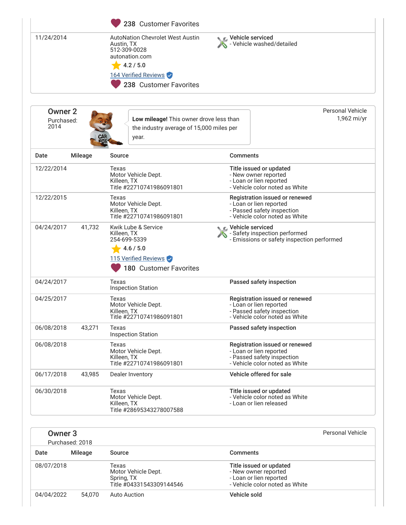|                                      |                | 238 Customer Favorites                                                                                                                                 |                                                |                                                                                                                           |
|--------------------------------------|----------------|--------------------------------------------------------------------------------------------------------------------------------------------------------|------------------------------------------------|---------------------------------------------------------------------------------------------------------------------------|
| 11/24/2014                           |                | <b>AutoNation Chevrolet West Austin</b><br>Austin, TX<br>512-309-0028<br>autonation.com<br>4.2 / 5.0<br>164 Verified Reviews<br>238 Customer Favorites | ्र Vehicle serviced<br>Vehicle washed/detailed |                                                                                                                           |
| <b>Owner 2</b><br>Purchased:<br>2014 |                | Low mileage! This owner drove less than<br>the industry average of 15,000 miles per<br>year.                                                           |                                                | Personal Vehicle<br>1,962 mi/yr                                                                                           |
| Date                                 | <b>Mileage</b> | Source                                                                                                                                                 |                                                | <b>Comments</b>                                                                                                           |
| 12/22/2014                           |                | Texas<br>Motor Vehicle Dept.<br>Killeen, TX<br>Title #22710741986091801                                                                                |                                                | Title issued or updated<br>- New owner reported<br>- Loan or lien reported<br>- Vehicle color noted as White              |
| 12/22/2015                           |                | Texas<br>Motor Vehicle Dept.<br>Killeen, TX<br>Title #22710741986091801                                                                                |                                                | Registration issued or renewed<br>- Loan or lien reported<br>- Passed safety inspection<br>- Vehicle color noted as White |
| 04/24/2017                           | 41,732         | Kwik Lube & Service<br>Killeen, TX<br>254-699-5339<br>4.6 / 5.0<br>115 Verified Reviews<br>180 Customer Favorites                                      |                                                | ic⊾ Vehicle serviced<br>- Safety inspection performed<br>- Emissions or safety inspection performed                       |
| 04/24/2017                           |                | Texas<br><b>Inspection Station</b>                                                                                                                     |                                                | Passed safety inspection                                                                                                  |
| 04/25/2017                           |                | Texas<br>Motor Vehicle Dept.<br>Killeen, TX<br>Title #22710741986091801                                                                                |                                                | Registration issued or renewed<br>- Loan or lien reported<br>- Passed safety inspection<br>- Vehicle color noted as White |
| 06/08/2018                           | 43,271         | Texas<br><b>Inspection Station</b>                                                                                                                     |                                                | Passed safety inspection                                                                                                  |
| 06/08/2018                           |                | Texas<br>Motor Vehicle Dept.<br>Killeen, TX<br>Title #22710741986091801                                                                                |                                                | Registration issued or renewed<br>- Loan or lien reported<br>- Passed safety inspection<br>- Vehicle color noted as White |
| 06/17/2018                           | 43,985         | Dealer Inventory                                                                                                                                       |                                                | Vehicle offered for sale                                                                                                  |
| 06/30/2018                           |                | Texas<br>Motor Vehicle Dept.<br>Killeen, TX<br>Title #28695343278007588                                                                                |                                                | Title issued or updated<br>- Vehicle color noted as White<br>- Loan or lien released                                      |

| Owner 3<br>Purchased: 2018 |         |                                                                        |                                                                                                              | Personal Vehicle |
|----------------------------|---------|------------------------------------------------------------------------|--------------------------------------------------------------------------------------------------------------|------------------|
| Date                       | Mileage | Source                                                                 | <b>Comments</b>                                                                                              |                  |
| 08/07/2018                 |         | Texas<br>Motor Vehicle Dept.<br>Spring, TX<br>Title #04331543309144546 | Title issued or updated<br>- New owner reported<br>- Loan or lien reported<br>- Vehicle color noted as White |                  |
| 04/04/2022                 | 54.070  | Auto Auction                                                           | Vehicle sold                                                                                                 |                  |